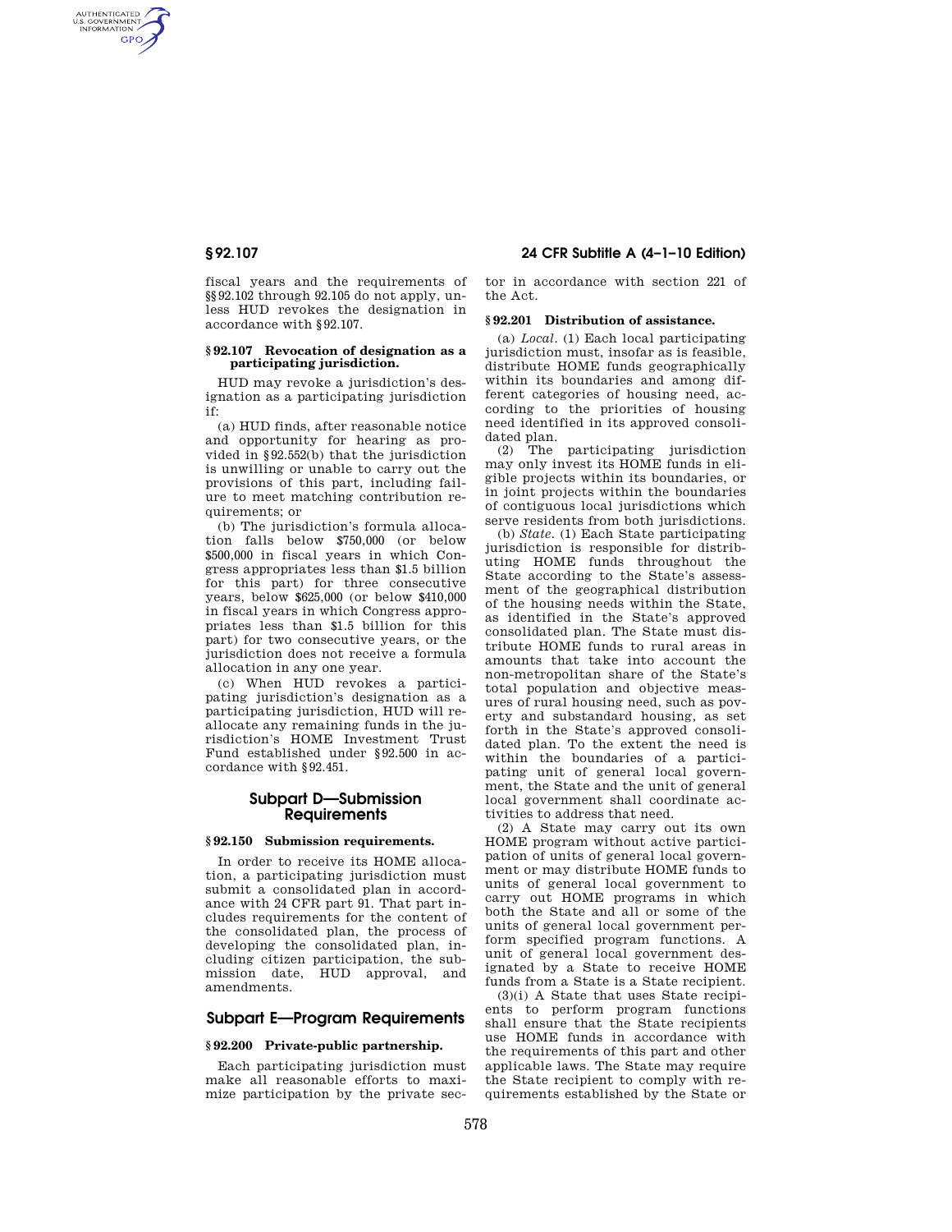AUTHENTICATED<br>U.S. GOVERNMENT<br>INFORMATION **GPO** 

> fiscal years and the requirements of §§92.102 through 92.105 do not apply, unless HUD revokes the designation in accordance with §92.107.

### **§ 92.107 Revocation of designation as a participating jurisdiction.**

HUD may revoke a jurisdiction's designation as a participating jurisdiction if:

(a) HUD finds, after reasonable notice and opportunity for hearing as provided in §92.552(b) that the jurisdiction is unwilling or unable to carry out the provisions of this part, including failure to meet matching contribution requirements; or

(b) The jurisdiction's formula allocation falls below \$750,000 (or below \$500,000 in fiscal years in which Congress appropriates less than \$1.5 billion for this part) for three consecutive years, below \$625,000 (or below \$410,000 in fiscal years in which Congress appropriates less than \$1.5 billion for this part) for two consecutive years, or the jurisdiction does not receive a formula allocation in any one year.

(c) When HUD revokes a participating jurisdiction's designation as a participating jurisdiction, HUD will reallocate any remaining funds in the jurisdiction's HOME Investment Trust Fund established under §92.500 in accordance with §92.451.

# **Subpart D—Submission Requirements**

#### **§ 92.150 Submission requirements.**

In order to receive its HOME allocation, a participating jurisdiction must submit a consolidated plan in accordance with 24 CFR part 91. That part includes requirements for the content of the consolidated plan, the process of developing the consolidated plan, including citizen participation, the submission date, HUD approval, and amendments.

# **Subpart E—Program Requirements**

#### **§ 92.200 Private-public partnership.**

Each participating jurisdiction must make all reasonable efforts to maximize participation by the private sec-

**§ 92.107 24 CFR Subtitle A (4–1–10 Edition)** 

tor in accordance with section 221 of the Act.

#### **§ 92.201 Distribution of assistance.**

(a) *Local.* (1) Each local participating jurisdiction must, insofar as is feasible, distribute HOME funds geographically within its boundaries and among different categories of housing need, according to the priorities of housing need identified in its approved consolidated plan.

(2) The participating jurisdiction may only invest its HOME funds in eligible projects within its boundaries, or in joint projects within the boundaries of contiguous local jurisdictions which serve residents from both jurisdictions.

(b) *State.* (1) Each State participating jurisdiction is responsible for distributing HOME funds throughout the State according to the State's assessment of the geographical distribution of the housing needs within the State, as identified in the State's approved consolidated plan. The State must distribute HOME funds to rural areas in amounts that take into account the non-metropolitan share of the State's total population and objective measures of rural housing need, such as poverty and substandard housing, as set forth in the State's approved consolidated plan. To the extent the need is within the boundaries of a participating unit of general local government, the State and the unit of general local government shall coordinate activities to address that need.

(2) A State may carry out its own HOME program without active participation of units of general local government or may distribute HOME funds to units of general local government to carry out HOME programs in which both the State and all or some of the units of general local government perform specified program functions. A unit of general local government designated by a State to receive HOME funds from a State is a State recipient.

(3)(i) A State that uses State recipients to perform program functions shall ensure that the State recipients use HOME funds in accordance with the requirements of this part and other applicable laws. The State may require the State recipient to comply with requirements established by the State or